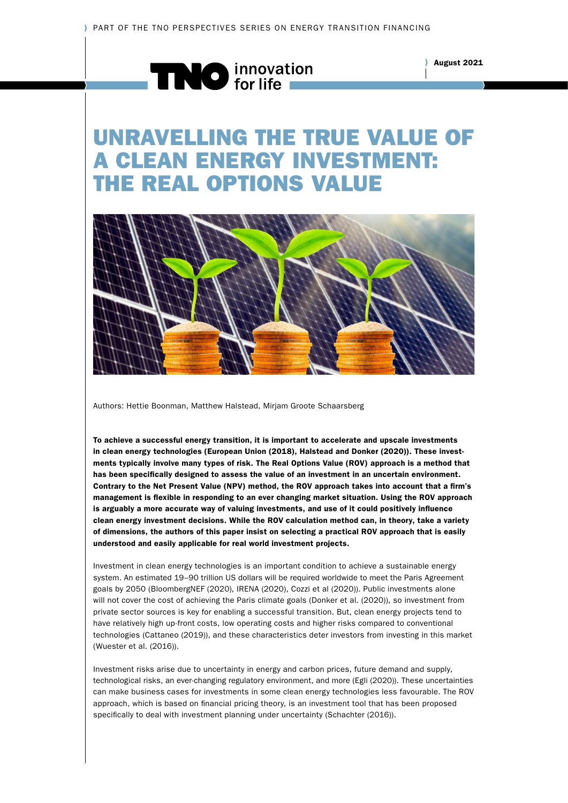

## UNRAVELLING THE TRUE VALUE OF A CLEAN ENERGY INVESTMENT: THE REAL OPTIONS VALUE



Authors: Hettie Boonman, Matthew Halstead, Mirjam Groote Schaarsberg

To achieve a successful energy transition, it is important to accelerate and upscale investments in clean energy technologies (European Union (2018), Halstead and Donker (2020)). These investments typically involve many types of risk. The Real Options Value (ROV) approach is a method that has been specifically designed to assess the value of an investment in an uncertain environment. Contrary to the Net Present Value (NPV) method, the ROV approach takes into account that a firm's management is flexible in responding to an ever changing market situation. Using the ROV approach is arguably a more accurate way of valuing investments, and use of it could positively influence clean energy investment decisions. While the ROV calculation method can, in theory, take a variety of dimensions, the authors of this paper insist on selecting a practical ROV approach that is easily understood and easily applicable for real world investment projects.

Investment in clean energy technologies is an important condition to achieve a sustainable energy system. An estimated 19–90 trillion US dollars will be required worldwide to meet the Paris Agreement goals by 2050 (BloombergNEF (2020), IRENA (2020), Cozzi et al (2020)). Public investments alone will not cover the cost of achieving the Paris climate goals (Donker et al. (2020)), so investment from private sector sources is key for enabling a successful transition. But, clean energy projects tend to have relatively high up-front costs, low operating costs and higher risks compared to conventional technologies (Cattaneo (2019)), and these characteristics deter investors from investing in this market (Wuester et al. (2016)).

Investment risks arise due to uncertainty in energy and carbon prices, future demand and supply, technological risks, an ever-changing regulatory environment, and more (Egli (2020)). These uncertainties can make business cases for investments in some clean energy technologies less favourable. The ROV approach, which is based on financial pricing theory, is an investment tool that has been proposed specifically to deal with investment planning under uncertainty (Schachter (2016)).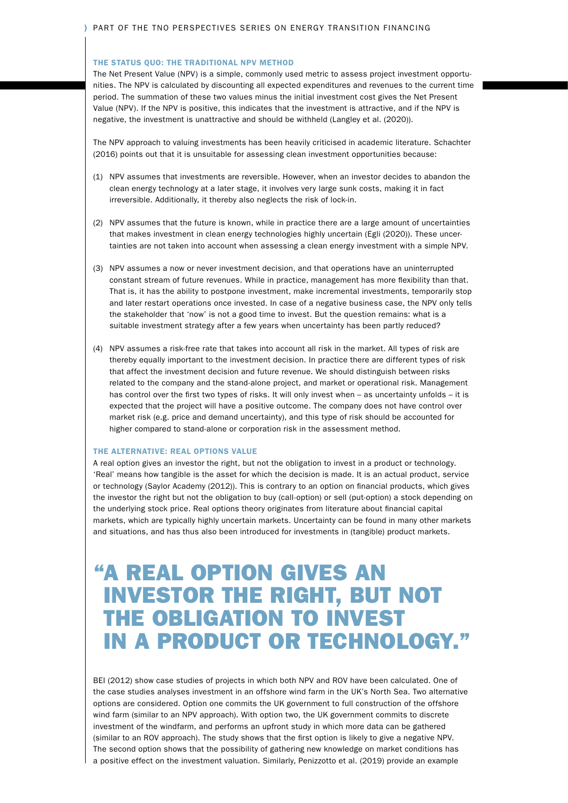#### THE STATUS QUO: THE TRADITIONAL NPV METHOD

The Net Present Value (NPV) is a simple, commonly used metric to assess project investment opportunities. The NPV is calculated by discounting all expected expenditures and revenues to the current time period. The summation of these two values minus the initial investment cost gives the Net Present Value (NPV). If the NPV is positive, this indicates that the investment is attractive, and if the NPV is negative, the investment is unattractive and should be withheld (Langley et al. (2020)).

The NPV approach to valuing investments has been heavily criticised in academic literature. Schachter (2016) points out that it is unsuitable for assessing clean investment opportunities because:

- (1) NPV assumes that investments are reversible. However, when an investor decides to abandon the clean energy technology at a later stage, it involves very large sunk costs, making it in fact irreversible. Additionally, it thereby also neglects the risk of lock-in.
- (2) NPV assumes that the future is known, while in practice there are a large amount of uncertainties that makes investment in clean energy technologies highly uncertain (Egli (2020)). These uncertainties are not taken into account when assessing a clean energy investment with a simple NPV.
- (3) NPV assumes a now or never investment decision, and that operations have an uninterrupted constant stream of future revenues. While in practice, management has more flexibility than that. That is, it has the ability to postpone investment, make incremental investments, temporarily stop and later restart operations once invested. In case of a negative business case, the NPV only tells the stakeholder that 'now' is not a good time to invest. But the question remains: what is a suitable investment strategy after a few years when uncertainty has been partly reduced?
- (4) NPV assumes a risk-free rate that takes into account all risk in the market. All types of risk are thereby equally important to the investment decision. In practice there are different types of risk that affect the investment decision and future revenue. We should distinguish between risks related to the company and the stand-alone project, and market or operational risk. Management has control over the first two types of risks. It will only invest when – as uncertainty unfolds – it is expected that the project will have a positive outcome. The company does not have control over market risk (e.g. price and demand uncertainty), and this type of risk should be accounted for higher compared to stand-alone or corporation risk in the assessment method.

#### THE ALTERNATIVE: REAL OPTIONS VALUE

A real option gives an investor the right, but not the obligation to invest in a product or technology. 'Real' means how tangible is the asset for which the decision is made. It is an actual product, service or technology (Saylor Academy (2012)). This is contrary to an option on financial products, which gives the investor the right but not the obligation to buy (call-option) or sell (put-option) a stock depending on the underlying stock price. Real options theory originates from literature about financial capital markets, which are typically highly uncertain markets. Uncertainty can be found in many other markets and situations, and has thus also been introduced for investments in (tangible) product markets.

## "A REAL OPTION GIVES AN INVESTOR THE RIGHT, BUT NOT THE OBLIGATION TO INVEST IN A PRODUCT OR TECHNOLOGY."

BEI (2012) show case studies of projects in which both NPV and ROV have been calculated. One of the case studies analyses investment in an offshore wind farm in the UK's North Sea. Two alternative options are considered. Option one commits the UK government to full construction of the offshore wind farm (similar to an NPV approach). With option two, the UK government commits to discrete investment of the windfarm, and performs an upfront study in which more data can be gathered (similar to an ROV approach). The study shows that the first option is likely to give a negative NPV. The second option shows that the possibility of gathering new knowledge on market conditions has a positive effect on the investment valuation. Similarly, Penizzotto et al. (2019) provide an example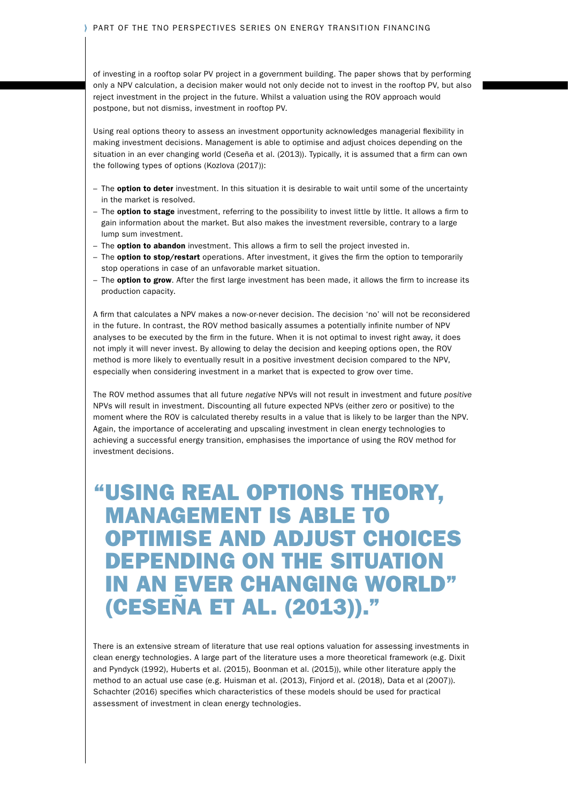of investing in a rooftop solar PV project in a government building. The paper shows that by performing only a NPV calculation, a decision maker would not only decide not to invest in the rooftop PV, but also reject investment in the project in the future. Whilst a valuation using the ROV approach would postpone, but not dismiss, investment in rooftop PV.

Using real options theory to assess an investment opportunity acknowledges managerial flexibility in making investment decisions. Management is able to optimise and adjust choices depending on the situation in an ever changing world (Ceseña et al. (2013)). Typically, it is assumed that a firm can own the following types of options (Kozlova (2017)):

- The option to deter investment. In this situation it is desirable to wait until some of the uncertainty in the market is resolved.
- The **option to stage** investment, referring to the possibility to invest little by little. It allows a firm to gain information about the market. But also makes the investment reversible, contrary to a large lump sum investment.
- The option to abandon investment. This allows a firm to sell the project invested in.
- The option to stop/restart operations. After investment, it gives the firm the option to temporarily stop operations in case of an unfavorable market situation.
- The **option to grow**. After the first large investment has been made, it allows the firm to increase its production capacity.

A firm that calculates a NPV makes a now-or-never decision. The decision 'no' will not be reconsidered in the future. In contrast, the ROV method basically assumes a potentially infinite number of NPV analyses to be executed by the firm in the future. When it is not optimal to invest right away, it does not imply it will never invest. By allowing to delay the decision and keeping options open, the ROV method is more likely to eventually result in a positive investment decision compared to the NPV, especially when considering investment in a market that is expected to grow over time.

The ROV method assumes that all future *negative* NPVs will not result in investment and future *positive* NPVs will result in investment. Discounting all future expected NPVs (either zero or positive) to the moment where the ROV is calculated thereby results in a value that is likely to be larger than the NPV. Again, the importance of accelerating and upscaling investment in clean energy technologies to achieving a successful energy transition, emphasises the importance of using the ROV method for investment decisions.

## "USING REAL OPTIONS THEORY, MANAGEMENT IS ABLE TO OPTIMISE AND ADJUST CHOICES DEPENDING ON THE SITUATION IN AN EVER CHANGING WORLD" (CESEÑA ET AL. (2013))."

There is an extensive stream of literature that use real options valuation for assessing investments in clean energy technologies. A large part of the literature uses a more theoretical framework (e.g. Dixit and Pyndyck (1992), Huberts et al. (2015), Boonman et al. (2015)), while other literature apply the method to an actual use case (e.g. Huisman et al. (2013), Finjord et al. (2018), Data et al (2007)). Schachter (2016) specifies which characteristics of these models should be used for practical assessment of investment in clean energy technologies.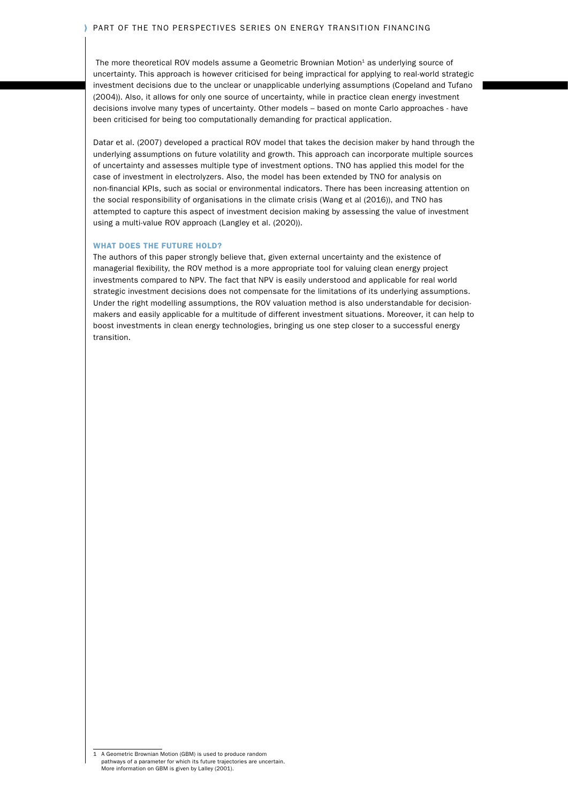#### PART OF THE TNO PERSPECTIVES SERIES ON ENERGY TRANSITION FINANCING

The more theoretical ROV models assume a Geometric Brownian Motion<sup>1</sup> as underlying source of uncertainty. This approach is however criticised for being impractical for applying to real-world strategic investment decisions due to the unclear or unapplicable underlying assumptions (Copeland and Tufano (2004)). Also, it allows for only one source of uncertainty, while in practice clean energy investment decisions involve many types of uncertainty. Other models – based on monte Carlo approaches - have been criticised for being too computationally demanding for practical application.

Datar et al. (2007) developed a practical ROV model that takes the decision maker by hand through the underlying assumptions on future volatility and growth. This approach can incorporate multiple sources of uncertainty and assesses multiple type of investment options. TNO has applied this model for the case of investment in electrolyzers. Also, the model has been extended by TNO for analysis on non-financial KPIs, such as social or environmental indicators. There has been increasing attention on the social responsibility of organisations in the climate crisis (Wang et al (2016)), and TNO has attempted to capture this aspect of investment decision making by assessing the value of investment using a multi-value ROV approach (Langley et al. (2020)).

### WHAT DOES THE FUTURE HOLD?

The authors of this paper strongly believe that, given external uncertainty and the existence of managerial flexibility, the ROV method is a more appropriate tool for valuing clean energy project investments compared to NPV. The fact that NPV is easily understood and applicable for real world strategic investment decisions does not compensate for the limitations of its underlying assumptions. Under the right modelling assumptions, the ROV valuation method is also understandable for decisionmakers and easily applicable for a multitude of different investment situations. Moreover, it can help to boost investments in clean energy technologies, bringing us one step closer to a successful energy transition.

<sup>1</sup> A Geometric Brownian Motion (GBM) is used to produce random pathways of a parameter for which its future trajectories are uncertain. More information on GBM is given by Lalley (2001).